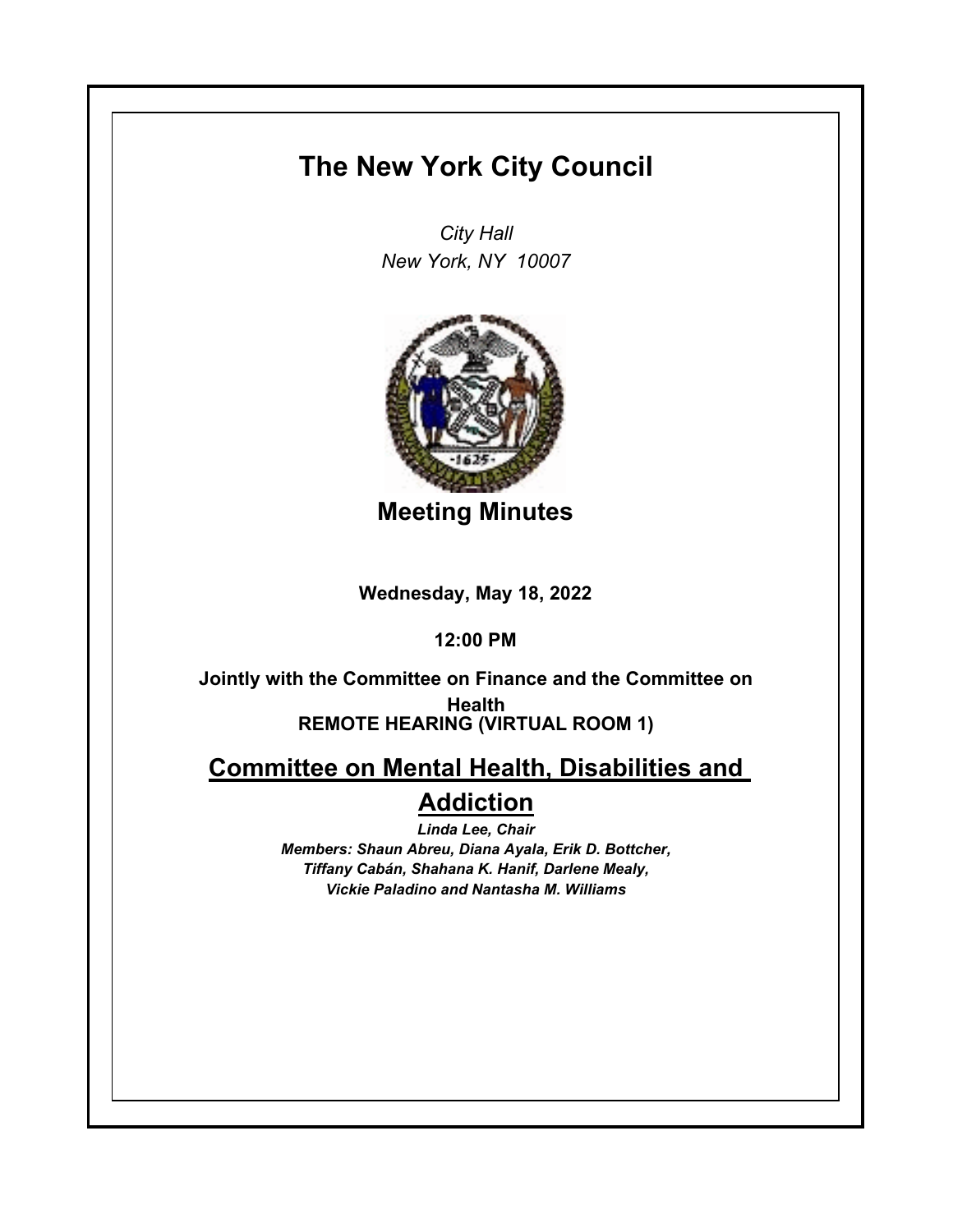## **The New York City Council**

*City Hall New York, NY 10007*



**Meeting Minutes**

**Wednesday, May 18, 2022**

**12:00 PM**

**REMOTE HEARING (VIRTUAL ROOM 1) Jointly with the Committee on Finance and the Committee on Health**

**Committee on Mental Health, Disabilities and Addiction**

> *Linda Lee, Chair Members: Shaun Abreu, Diana Ayala, Erik D. Bottcher, Tiffany Cabán, Shahana K. Hanif, Darlene Mealy, Vickie Paladino and Nantasha M. Williams*